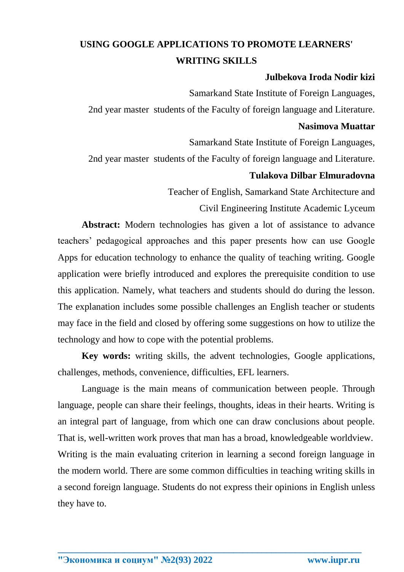# **USING GOOGLE APPLICATIONS TO PROMOTE LEARNERS' WRITING SKILLS**

## **Julbekova Iroda Nodir kizi**

Samarkand State Institute of Foreign Languages,

2nd year master students of the Faculty of foreign language and Literature.

#### **Nasimova Muattar**

Samarkand State Institute of Foreign Languages,

2nd year master students of the Faculty of foreign language and Literature.

## **Tulakova Dilbar Elmuradovna**

Teacher of English, Samarkand State Architecture and

Civil Engineering Institute Academic Lyceum

**Abstract:** Modern technologies has given a lot of assistance to advance teachers' pedagogical approaches and this paper presents how can use Google Apps for education technology to enhance the quality of teaching writing. Google application were briefly introduced and explores the prerequisite condition to use this application. Namely, what teachers and students should do during the lesson. The explanation includes some possible challenges an English teacher or students may face in the field and closed by offering some suggestions on how to utilize the technology and how to cope with the potential problems.

**Key words:** writing skills, the advent technologies, Google applications, challenges, methods, convenience, difficulties, EFL learners.

Language is the main means of communication between people. Through language, people can share their feelings, thoughts, ideas in their hearts. Writing is an integral part of language, from which one can draw conclusions about people. That is, well-written work proves that man has a broad, knowledgeable worldview. Writing is the main evaluating criterion in learning a second foreign language in the modern world. There are some common difficulties in teaching writing skills in a second foreign language. Students do not express their opinions in English unless they have to.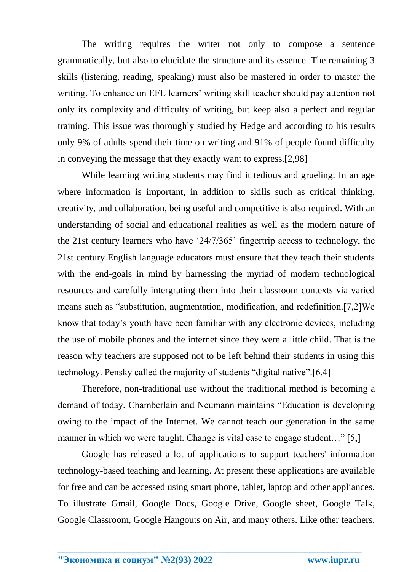The writing requires the writer not only to compose a sentence grammatically, but also to elucidate the structure and its essence. The remaining 3 skills (listening, reading, speaking) must also be mastered in order to master the writing. To enhance on EFL learners' writing skill teacher should pay attention not only its complexity and difficulty of writing, but keep also a perfect and regular training. This issue was thoroughly studied by Hedge and according to his results only 9% of adults spend their time on writing and 91% of people found difficulty in conveying the message that they exactly want to express.[2,98]

While learning writing students may find it tedious and grueling. In an age where information is important, in addition to skills such as critical thinking, creativity, and collaboration, being useful and competitive is also required. With an understanding of social and educational realities as well as the modern nature of the 21st century learners who have '24/7/365' fingertrip access to technology, the 21st century English language educators must ensure that they teach their students with the end-goals in mind by harnessing the myriad of modern technological resources and carefully intergrating them into their classroom contexts via varied means such as "substitution, augmentation, modification, and redefinition.[7,2]We know that today's youth have been familiar with any electronic devices, including the use of mobile phones and the internet since they were a little child. That is the reason why teachers are supposed not to be left behind their students in using this technology. Pensky called the majority of students "digital native".[6,4]

Therefore, non-traditional use without the traditional method is becoming a demand of today. Chamberlain and Neumann maintains "Education is developing owing to the impact of the Internet. We cannot teach our generation in the same manner in which we were taught. Change is vital case to engage student..." [5,]

Google has released a lot of applications to support teachers' information technology-based teaching and learning. At present these applications are available for free and can be accessed using smart phone, tablet, laptop and other appliances. To illustrate Gmail, Google Docs, Google Drive, Google sheet, Google Talk, Google Classroom, Google Hangouts on Air, and many others. Like other teachers,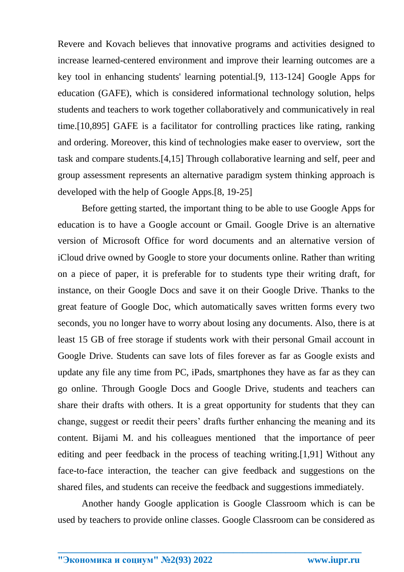Revere and Kovach believes that innovative programs and activities designed to increase learned-centered environment and improve their learning outcomes are a key tool in enhancing students' learning potential.[9, 113-124] Google Apps for education (GAFE), which is considered informational technology solution, helps students and teachers to work together collaboratively and communicatively in real time.[10,895] GAFE is a facilitator for controlling practices like rating, ranking and ordering. Moreover, this kind of technologies make easer to overview, sort the task and compare students.[4,15] Through collaborative learning and self, peer and group assessment represents an alternative paradigm system thinking approach is developed with the help of Google Apps.[8, 19-25]

Before getting started, the important thing to be able to use Google Apps for education is to have a Google account or Gmail. Google Drive is an alternative version of Microsoft Office for word documents and an alternative version of iCloud drive owned by Google to store your documents online. Rather than writing on a piece of paper, it is preferable for to students type their writing draft, for instance, on their Google Docs and save it on their Google Drive. Thanks to the great feature of Google Doc, which automatically saves written forms every two seconds, you no longer have to worry about losing any documents. Also, there is at least 15 GB of free storage if students work with their personal Gmail account in Google Drive. Students can save lots of files forever as far as Google exists and update any file any time from PC, iPads, smartphones they have as far as they can go online. Through Google Docs and Google Drive, students and teachers can share their drafts with others. It is a great opportunity for students that they can change, suggest or reedit their peers' drafts further enhancing the meaning and its content. Bijami M. and his colleagues mentioned that the importance of peer editing and peer feedback in the process of teaching writing.[1,91] Without any face-to-face interaction, the teacher can give feedback and suggestions on the shared files, and students can receive the feedback and suggestions immediately.

Another handy Google application is Google Classroom which is can be used by teachers to provide online classes. Google Classroom can be considered as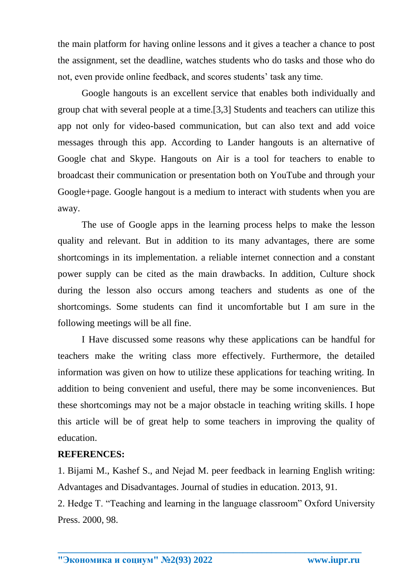the main platform for having online lessons and it gives a teacher a chance to post the assignment, set the deadline, watches students who do tasks and those who do not, even provide online feedback, and scores students' task any time.

Google hangouts is an excellent service that enables both individually and group chat with several people at a time.[3,3] Students and teachers can utilize this app not only for video-based communication, but can also text and add voice messages through this app. According to Lander hangouts is an alternative of Google chat and Skype. Hangouts on Air is a tool for teachers to enable to broadcast their communication or presentation both on YouTube and through your Google+page. Google hangout is a medium to interact with students when you are away.

The use of Google apps in the learning process helps to make the lesson quality and relevant. But in addition to its many advantages, there are some shortcomings in its implementation. a reliable internet connection and a constant power supply can be cited as the main drawbacks. In addition, Culture shock during the lesson also occurs among teachers and students as one of the shortcomings. Some students can find it uncomfortable but I am sure in the following meetings will be all fine.

I Have discussed some reasons why these applications can be handful for teachers make the writing class more effectively. Furthermore, the detailed information was given on how to utilize these applications for teaching writing. In addition to being convenient and useful, there may be some inconveniences. But these shortcomings may not be a major obstacle in teaching writing skills. I hope this article will be of great help to some teachers in improving the quality of education.

## **REFERENCES:**

1. Bijami M., Kashef S., and Nejad M. peer feedback in learning English writing: Advantages and Disadvantages. Journal of studies in education. 2013, 91.

2. Hedge T. "Teaching and learning in the language classroom" Oxford University Press. 2000, 98.